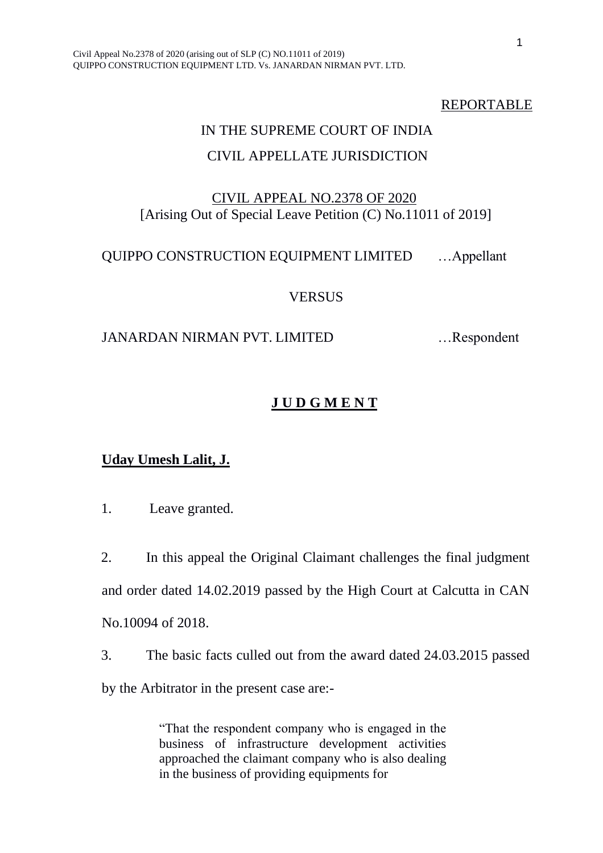#### REPORTABLE

# IN THE SUPREME COURT OF INDIA CIVIL APPELLATE JURISDICTION

#### CIVIL APPEAL NO.2378 OF 2020 [Arising Out of Special Leave Petition (C) No.11011 of 2019]

### QUIPPO CONSTRUCTION EQUIPMENT LIMITED …Appellant

#### **VERSUS**

#### JANARDAN NIRMAN PVT. LIMITED …Respondent

### **J U D G M E N T**

#### **Uday Umesh Lalit, J.**

1. Leave granted.

2. In this appeal the Original Claimant challenges the final judgment and order dated 14.02.2019 passed by the High Court at Calcutta in CAN No.10094 of 2018.

3. The basic facts culled out from the award dated 24.03.2015 passed by the Arbitrator in the present case are:-

> "That the respondent company who is engaged in the business of infrastructure development activities approached the claimant company who is also dealing in the business of providing equipments for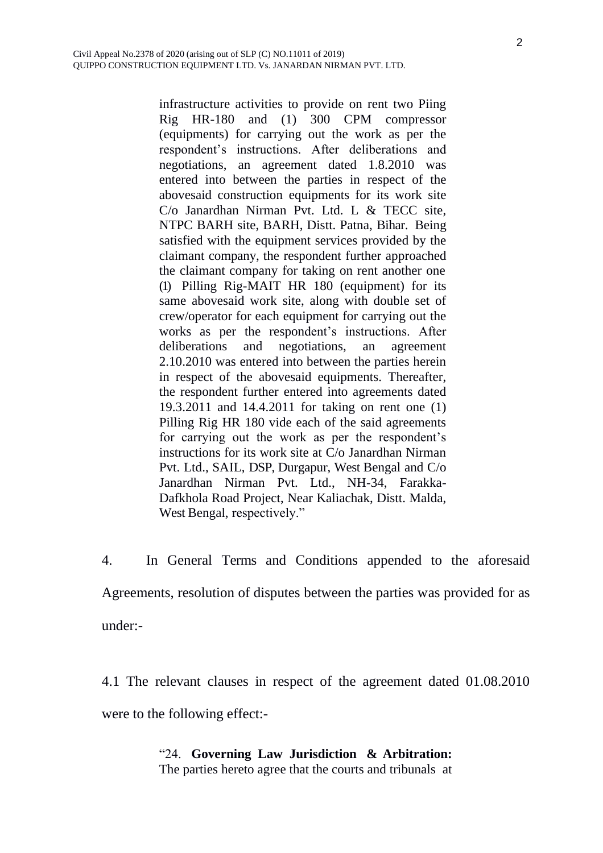infrastructure activities to provide on rent two Piing Rig HR-180 and (1) 300 CPM compressor (equipments) for carrying out the work as per the respondent's instructions. After deliberations and negotiations, an agreement dated 1.8.2010 was entered into between the parties in respect of the abovesaid construction equipments for its work site C/o Janardhan Nirman Pvt. Ltd. L & TECC site, NTPC BARH site, BARH, Distt. Patna, Bihar. Being satisfied with the equipment services provided by the claimant company, the respondent further approached the claimant company for taking on rent another one (1) Pilling Rig-MAIT HR 180 (equipment) for its same abovesaid work site, along with double set of crew/operator for each equipment for carrying out the works as per the respondent's instructions. After deliberations and negotiations, an agreement 2.10.2010 was entered into between the parties herein in respect of the abovesaid equipments. Thereafter, the respondent further entered into agreements dated 19.3.2011 and 14.4.2011 for taking on rent one (1) Pilling Rig HR 180 vide each of the said agreements for carrying out the work as per the respondent's instructions for its work site at C/o Janardhan Nirman Pvt. Ltd., SAIL, DSP, Durgapur, West Bengal and C/o Janardhan Nirman Pvt. Ltd., NH-34, Farakka-Dafkhola Road Project, Near Kaliachak, Distt. Malda, West Bengal, respectively."

4. In General Terms and Conditions appended to the aforesaid Agreements, resolution of disputes between the parties was provided for as under:-

4.1 The relevant clauses in respect of the agreement dated 01.08.2010 were to the following effect:-

## "24. **Governing Law Jurisdiction & Arbitration:**

The parties hereto agree that the courts and tribunals at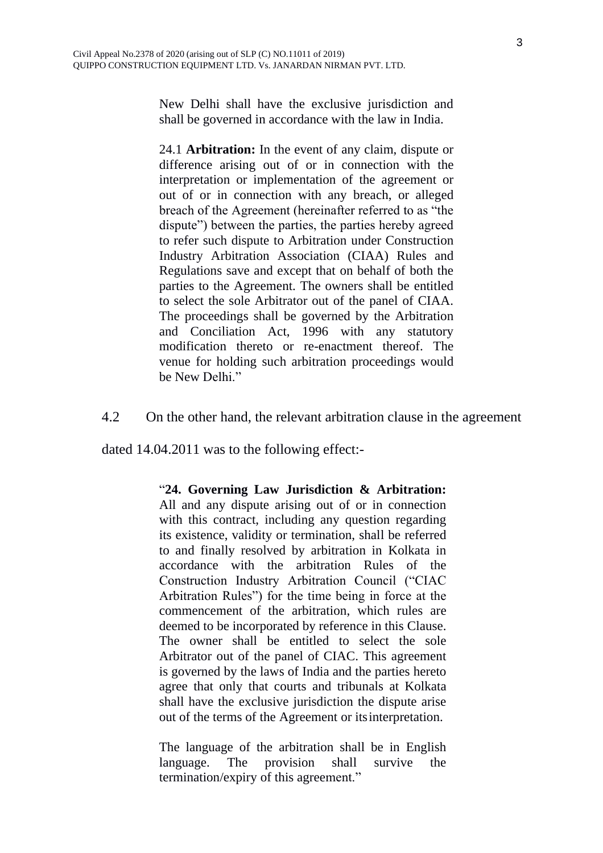New Delhi shall have the exclusive jurisdiction and shall be governed in accordance with the law in India.

24.1 **Arbitration:** In the event of any claim, dispute or difference arising out of or in connection with the interpretation or implementation of the agreement or out of or in connection with any breach, or alleged breach of the Agreement (hereinafter referred to as "the dispute") between the parties, the parties hereby agreed to refer such dispute to Arbitration under Construction Industry Arbitration Association (CIAA) Rules and Regulations save and except that on behalf of both the parties to the Agreement. The owners shall be entitled to select the sole Arbitrator out of the panel of CIAA. The proceedings shall be governed by the Arbitration and Conciliation Act, 1996 with any statutory modification thereto or re-enactment thereof. The venue for holding such arbitration proceedings would be New Delhi."

4.2 On the other hand, the relevant arbitration clause in the agreement

dated 14.04.2011 was to the following effect:-

#### "**24. Governing Law Jurisdiction & Arbitration:**

All and any dispute arising out of or in connection with this contract, including any question regarding its existence, validity or termination, shall be referred to and finally resolved by arbitration in Kolkata in accordance with the arbitration Rules of the Construction Industry Arbitration Council ("CIAC Arbitration Rules") for the time being in force at the commencement of the arbitration, which rules are deemed to be incorporated by reference in this Clause. The owner shall be entitled to select the sole Arbitrator out of the panel of CIAC. This agreement is governed by the laws of India and the parties hereto agree that only that courts and tribunals at Kolkata shall have the exclusive jurisdiction the dispute arise out of the terms of the Agreement or itsinterpretation.

The language of the arbitration shall be in English language. The provision shall survive the termination/expiry of this agreement."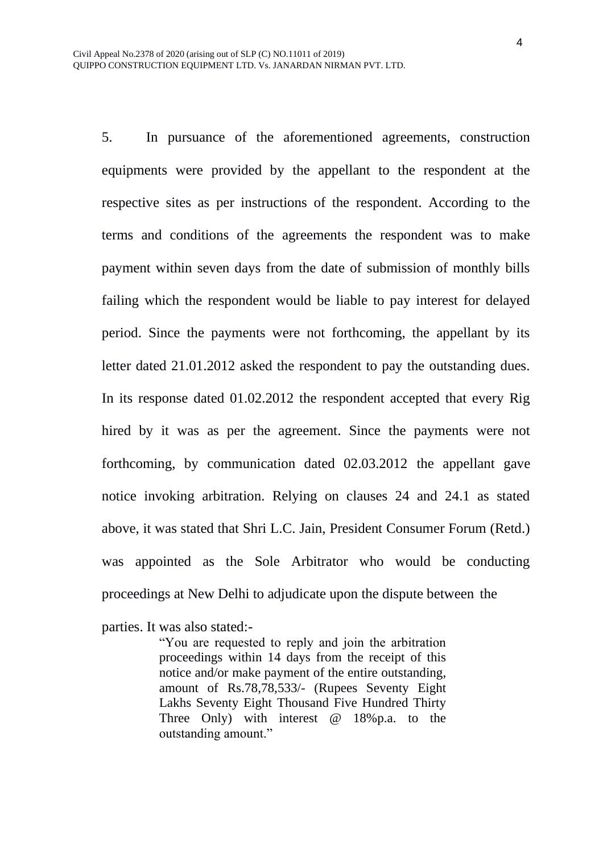5. In pursuance of the aforementioned agreements, construction equipments were provided by the appellant to the respondent at the respective sites as per instructions of the respondent. According to the terms and conditions of the agreements the respondent was to make payment within seven days from the date of submission of monthly bills failing which the respondent would be liable to pay interest for delayed period. Since the payments were not forthcoming, the appellant by its letter dated 21.01.2012 asked the respondent to pay the outstanding dues. In its response dated 01.02.2012 the respondent accepted that every Rig hired by it was as per the agreement. Since the payments were not forthcoming, by communication dated 02.03.2012 the appellant gave notice invoking arbitration. Relying on clauses 24 and 24.1 as stated above, it was stated that Shri L.C. Jain, President Consumer Forum (Retd.) was appointed as the Sole Arbitrator who would be conducting proceedings at New Delhi to adjudicate upon the dispute between the

parties. It was also stated:-

"You are requested to reply and join the arbitration proceedings within 14 days from the receipt of this notice and/or make payment of the entire outstanding, amount of Rs.78,78,533/- (Rupees Seventy Eight Lakhs Seventy Eight Thousand Five Hundred Thirty Three Only) with interest @ 18%p.a. to the outstanding amount."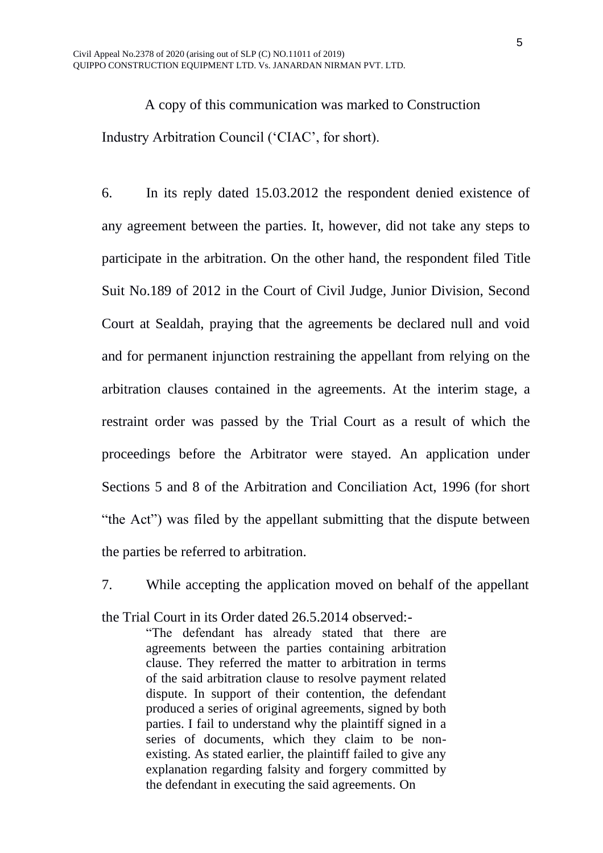A copy of this communication was marked to Construction Industry Arbitration Council ('CIAC', for short).

6. In its reply dated 15.03.2012 the respondent denied existence of any agreement between the parties. It, however, did not take any steps to participate in the arbitration. On the other hand, the respondent filed Title Suit No.189 of 2012 in the Court of Civil Judge, Junior Division, Second Court at Sealdah, praying that the agreements be declared null and void and for permanent injunction restraining the appellant from relying on the arbitration clauses contained in the agreements. At the interim stage, a restraint order was passed by the Trial Court as a result of which the proceedings before the Arbitrator were stayed. An application under Sections 5 and 8 of the Arbitration and Conciliation Act, 1996 (for short "the Act") was filed by the appellant submitting that the dispute between the parties be referred to arbitration.

7. While accepting the application moved on behalf of the appellant the Trial Court in its Order dated 26.5.2014 observed:- "The defendant has already stated that there are

agreements between the parties containing arbitration clause. They referred the matter to arbitration in terms of the said arbitration clause to resolve payment related dispute. In support of their contention, the defendant produced a series of original agreements, signed by both parties. I fail to understand why the plaintiff signed in a series of documents, which they claim to be nonexisting. As stated earlier, the plaintiff failed to give any explanation regarding falsity and forgery committed by the defendant in executing the said agreements. On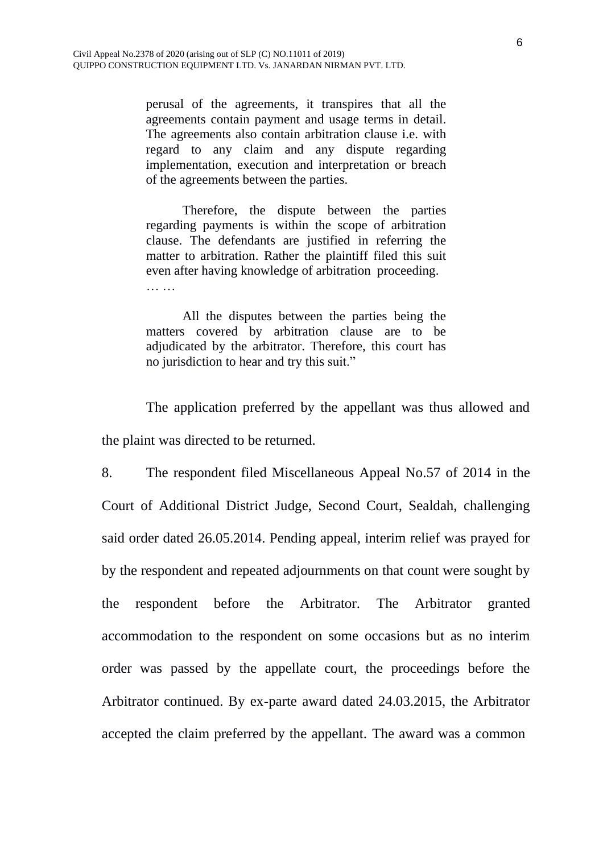perusal of the agreements, it transpires that all the agreements contain payment and usage terms in detail. The agreements also contain arbitration clause i.e. with regard to any claim and any dispute regarding implementation, execution and interpretation or breach of the agreements between the parties.

Therefore, the dispute between the parties regarding payments is within the scope of arbitration clause. The defendants are justified in referring the matter to arbitration. Rather the plaintiff filed this suit even after having knowledge of arbitration proceeding. ……

All the disputes between the parties being the matters covered by arbitration clause are to be adjudicated by the arbitrator. Therefore, this court has no jurisdiction to hear and try this suit."

The application preferred by the appellant was thus allowed and the plaint was directed to be returned.

8. The respondent filed Miscellaneous Appeal No.57 of 2014 in the Court of Additional District Judge, Second Court, Sealdah, challenging said order dated 26.05.2014. Pending appeal, interim relief was prayed for by the respondent and repeated adjournments on that count were sought by the respondent before the Arbitrator. The Arbitrator granted accommodation to the respondent on some occasions but as no interim order was passed by the appellate court, the proceedings before the Arbitrator continued. By ex-parte award dated 24.03.2015, the Arbitrator accepted the claim preferred by the appellant. The award was a common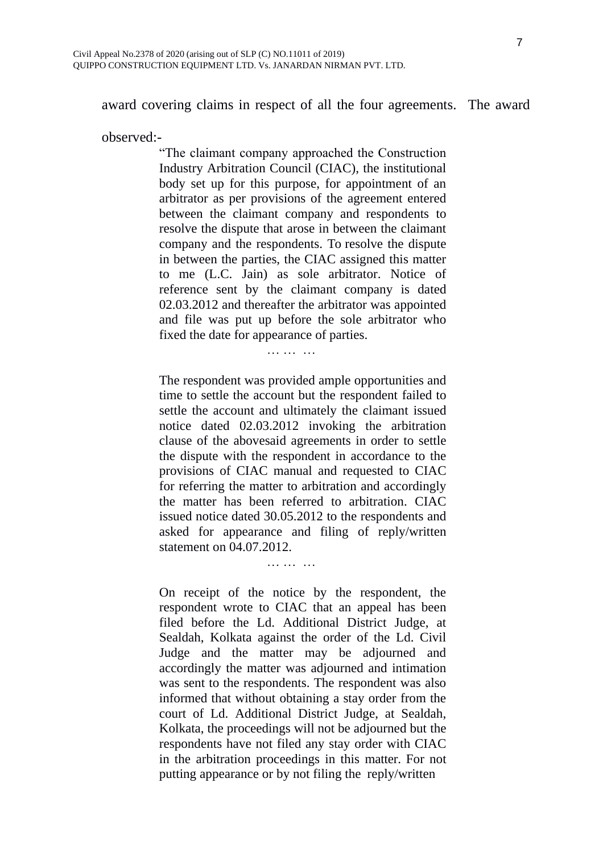award covering claims in respect of all the four agreements. The award

observed:-

"The claimant company approached the Construction Industry Arbitration Council (CIAC), the institutional body set up for this purpose, for appointment of an arbitrator as per provisions of the agreement entered between the claimant company and respondents to resolve the dispute that arose in between the claimant company and the respondents. To resolve the dispute in between the parties, the CIAC assigned this matter to me (L.C. Jain) as sole arbitrator. Notice of reference sent by the claimant company is dated 02.03.2012 and thereafter the arbitrator was appointed and file was put up before the sole arbitrator who fixed the date for appearance of parties.

#### … …

The respondent was provided ample opportunities and time to settle the account but the respondent failed to settle the account and ultimately the claimant issued notice dated 02.03.2012 invoking the arbitration clause of the abovesaid agreements in order to settle the dispute with the respondent in accordance to the provisions of CIAC manual and requested to CIAC for referring the matter to arbitration and accordingly the matter has been referred to arbitration. CIAC issued notice dated 30.05.2012 to the respondents and asked for appearance and filing of reply/written statement on 04.07.2012.

… … …

On receipt of the notice by the respondent, the respondent wrote to CIAC that an appeal has been filed before the Ld. Additional District Judge, at Sealdah, Kolkata against the order of the Ld. Civil Judge and the matter may be adjourned and accordingly the matter was adjourned and intimation was sent to the respondents. The respondent was also informed that without obtaining a stay order from the court of Ld. Additional District Judge, at Sealdah, Kolkata, the proceedings will not be adjourned but the respondents have not filed any stay order with CIAC in the arbitration proceedings in this matter. For not putting appearance or by not filing the reply/written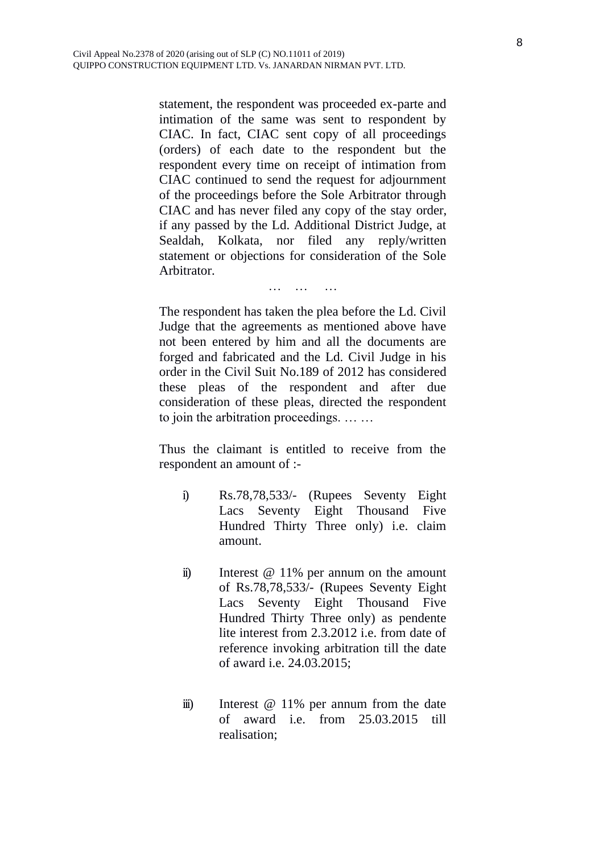statement, the respondent was proceeded ex-parte and intimation of the same was sent to respondent by CIAC. In fact, CIAC sent copy of all proceedings (orders) of each date to the respondent but the respondent every time on receipt of intimation from CIAC continued to send the request for adjournment of the proceedings before the Sole Arbitrator through CIAC and has never filed any copy of the stay order, if any passed by the Ld. Additional District Judge, at Sealdah, Kolkata, nor filed any reply/written statement or objections for consideration of the Sole Arbitrator.

… … …

The respondent has taken the plea before the Ld. Civil Judge that the agreements as mentioned above have not been entered by him and all the documents are forged and fabricated and the Ld. Civil Judge in his order in the Civil Suit No.189 of 2012 has considered these pleas of the respondent and after due consideration of these pleas, directed the respondent to join the arbitration proceedings. … …

Thus the claimant is entitled to receive from the respondent an amount of :-

- i) Rs.78,78,533/- (Rupees Seventy Eight Lacs Seventy Eight Thousand Five Hundred Thirty Three only) i.e. claim amount.
- ii) Interest @ 11% per annum on the amount of Rs.78,78,533/- (Rupees Seventy Eight Lacs Seventy Eight Thousand Five Hundred Thirty Three only) as pendente lite interest from 2.3.2012 i.e. from date of reference invoking arbitration till the date of award i.e. 24.03.2015;
- iii) Interest @ 11% per annum from the date of award i.e. from 25.03.2015 till realisation;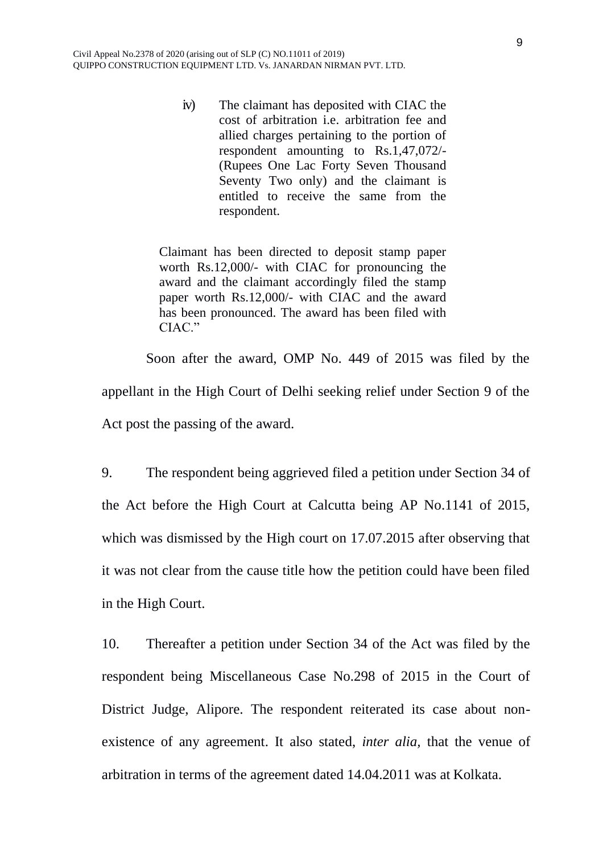iv) The claimant has deposited with CIAC the cost of arbitration i.e. arbitration fee and allied charges pertaining to the portion of respondent amounting to Rs.1,47,072/- (Rupees One Lac Forty Seven Thousand Seventy Two only) and the claimant is entitled to receive the same from the respondent.

Claimant has been directed to deposit stamp paper worth Rs.12,000/- with CIAC for pronouncing the award and the claimant accordingly filed the stamp paper worth Rs.12,000/- with CIAC and the award has been pronounced. The award has been filed with CIAC."

Soon after the award, OMP No. 449 of 2015 was filed by the appellant in the High Court of Delhi seeking relief under Section 9 of the Act post the passing of the award.

9. The respondent being aggrieved filed a petition under Section 34 of the Act before the High Court at Calcutta being AP No.1141 of 2015, which was dismissed by the High court on 17.07.2015 after observing that it was not clear from the cause title how the petition could have been filed in the High Court.

10. Thereafter a petition under Section 34 of the Act was filed by the respondent being Miscellaneous Case No.298 of 2015 in the Court of District Judge, Alipore. The respondent reiterated its case about nonexistence of any agreement. It also stated, *inter alia,* that the venue of arbitration in terms of the agreement dated 14.04.2011 was at Kolkata.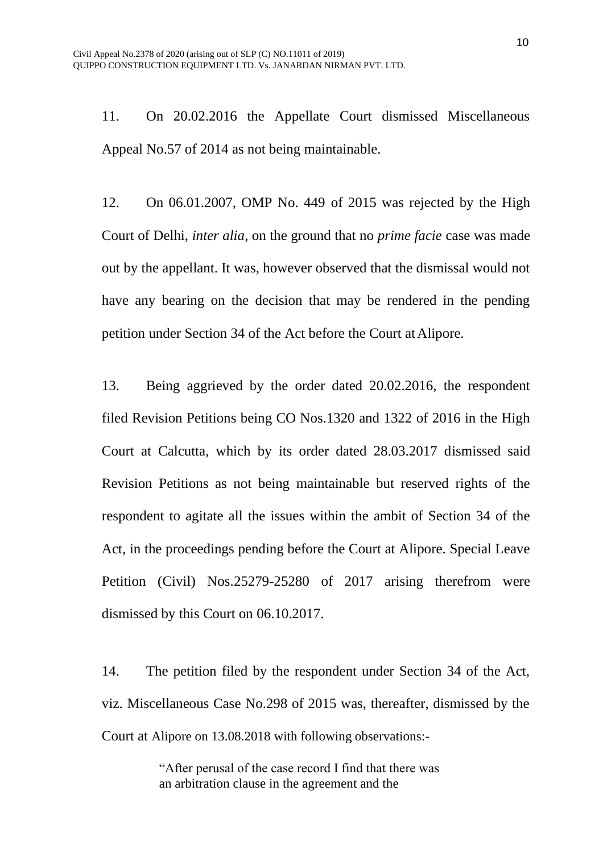11. On 20.02.2016 the Appellate Court dismissed Miscellaneous Appeal No.57 of 2014 as not being maintainable.

12. On 06.01.2007, OMP No. 449 of 2015 was rejected by the High Court of Delhi, *inter alia,* on the ground that no *prime facie* case was made out by the appellant. It was, however observed that the dismissal would not have any bearing on the decision that may be rendered in the pending petition under Section 34 of the Act before the Court atAlipore.

13. Being aggrieved by the order dated 20.02.2016, the respondent filed Revision Petitions being CO Nos.1320 and 1322 of 2016 in the High Court at Calcutta, which by its order dated 28.03.2017 dismissed said Revision Petitions as not being maintainable but reserved rights of the respondent to agitate all the issues within the ambit of Section 34 of the Act, in the proceedings pending before the Court at Alipore. Special Leave Petition (Civil) Nos.25279-25280 of 2017 arising therefrom were dismissed by this Court on 06.10.2017.

14. The petition filed by the respondent under Section 34 of the Act, viz. Miscellaneous Case No.298 of 2015 was, thereafter, dismissed by the Court at Alipore on 13.08.2018 with following observations:-

> "After perusal of the case record I find that there was an arbitration clause in the agreement and the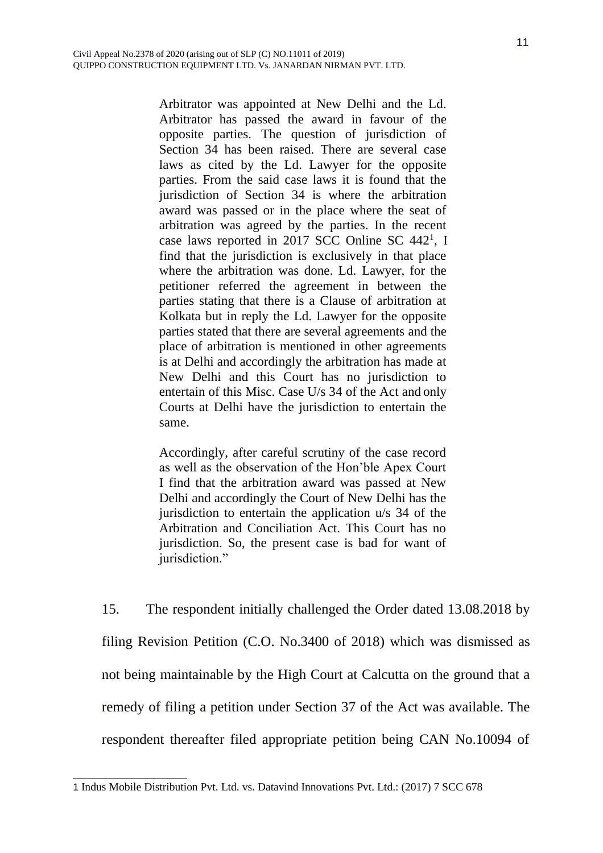Arbitrator was appointed at New Delhi and the Ld. Arbitrator has passed the award in favour of the opposite parties. The question of jurisdiction of Section 34 has been raised. There are several case laws as cited by the Ld. Lawyer for the opposite parties. From the said case laws it is found that the jurisdiction of Section 34 is where the arbitration award was passed or in the place where the seat of arbitration was agreed by the parties. In the recent case laws reported in 20[1](#page-10-0)7 SCC Online SC 442<sup>1</sup>, I find that the jurisdiction is exclusively in that place where the arbitration was done. Ld. Lawyer, for the petitioner referred the agreement in between the parties stating that there is a Clause of arbitration at Kolkata but in reply the Ld. Lawyer for the opposite parties stated that there are several agreements and the place of arbitration is mentioned in other agreements is at Delhi and accordingly the arbitration has made at New Delhi and this Court has no jurisdiction to entertain of this Misc. Case U/s 34 of the Act and only Courts at Delhi have the jurisdiction to entertain the same.

Accordingly, after careful scrutiny of the case record as well as the observation of the Hon'ble Apex Court I find that the arbitration award was passed at New Delhi and accordingly the Court of New Delhi has the jurisdiction to entertain the application u/s 34 of the Arbitration and Conciliation Act. This Court has no jurisdiction. So, the present case is bad for want of jurisdiction."

15. The respondent initially challenged the Order dated 13.08.2018 by filing Revision Petition (C.O. No.3400 of 2018) which was dismissed as not being maintainable by the High Court at Calcutta on the ground that a remedy of filing a petition under Section 37 of the Act was available. The respondent thereafter filed appropriate petition being CAN No.10094 of

<span id="page-10-0"></span><sup>1</sup> Indus Mobile Distribution Pvt. Ltd. vs. Datavind Innovations Pvt. Ltd.: (2017) 7 SCC 678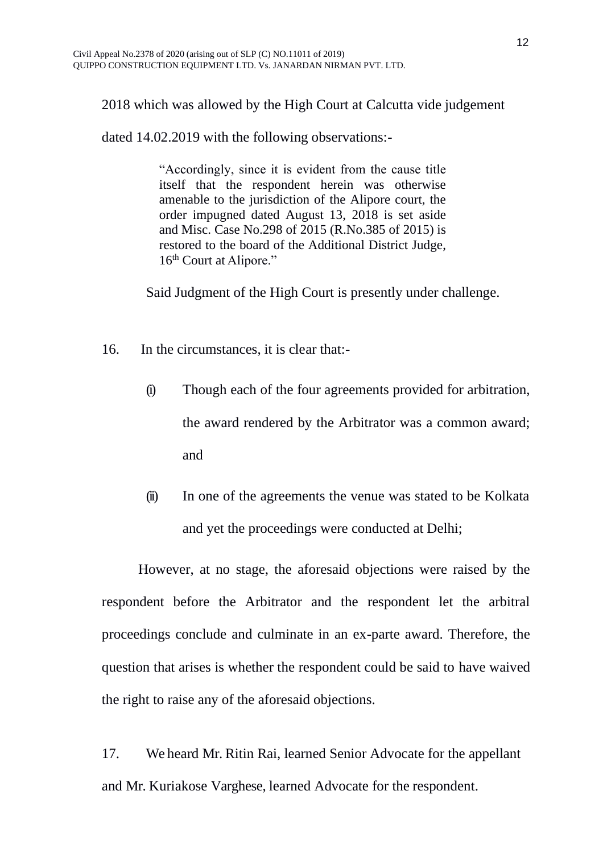2018 which was allowed by the High Court at Calcutta vide judgement

dated 14.02.2019 with the following observations:-

"Accordingly, since it is evident from the cause title itself that the respondent herein was otherwise amenable to the jurisdiction of the Alipore court, the order impugned dated August 13, 2018 is set aside and Misc. Case No.298 of 2015 (R.No.385 of 2015) is restored to the board of the Additional District Judge, 16<sup>th</sup> Court at Alipore."

Said Judgment of the High Court is presently under challenge.

- 16. In the circumstances, it is clear that:-
	- (i) Though each of the four agreements provided for arbitration, the award rendered by the Arbitrator was a common award; and
	- (ii) In one of the agreements the venue was stated to be Kolkata and yet the proceedings were conducted at Delhi;

However, at no stage, the aforesaid objections were raised by the respondent before the Arbitrator and the respondent let the arbitral proceedings conclude and culminate in an ex-parte award. Therefore, the question that arises is whether the respondent could be said to have waived the right to raise any of the aforesaid objections.

17. We heard Mr. Ritin Rai, learned Senior Advocate for the appellant and Mr. Kuriakose Varghese, learned Advocate for the respondent.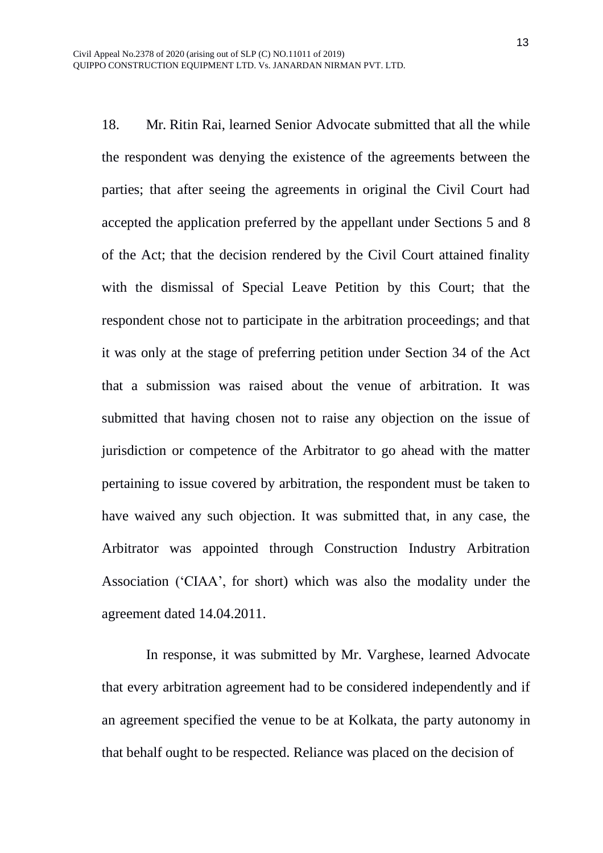18. Mr. Ritin Rai, learned Senior Advocate submitted that all the while the respondent was denying the existence of the agreements between the parties; that after seeing the agreements in original the Civil Court had accepted the application preferred by the appellant under Sections 5 and 8 of the Act; that the decision rendered by the Civil Court attained finality with the dismissal of Special Leave Petition by this Court; that the respondent chose not to participate in the arbitration proceedings; and that it was only at the stage of preferring petition under Section 34 of the Act that a submission was raised about the venue of arbitration. It was submitted that having chosen not to raise any objection on the issue of jurisdiction or competence of the Arbitrator to go ahead with the matter pertaining to issue covered by arbitration, the respondent must be taken to have waived any such objection. It was submitted that, in any case, the Arbitrator was appointed through Construction Industry Arbitration Association ('CIAA', for short) which was also the modality under the agreement dated 14.04.2011.

In response, it was submitted by Mr. Varghese, learned Advocate that every arbitration agreement had to be considered independently and if an agreement specified the venue to be at Kolkata, the party autonomy in that behalf ought to be respected. Reliance was placed on the decision of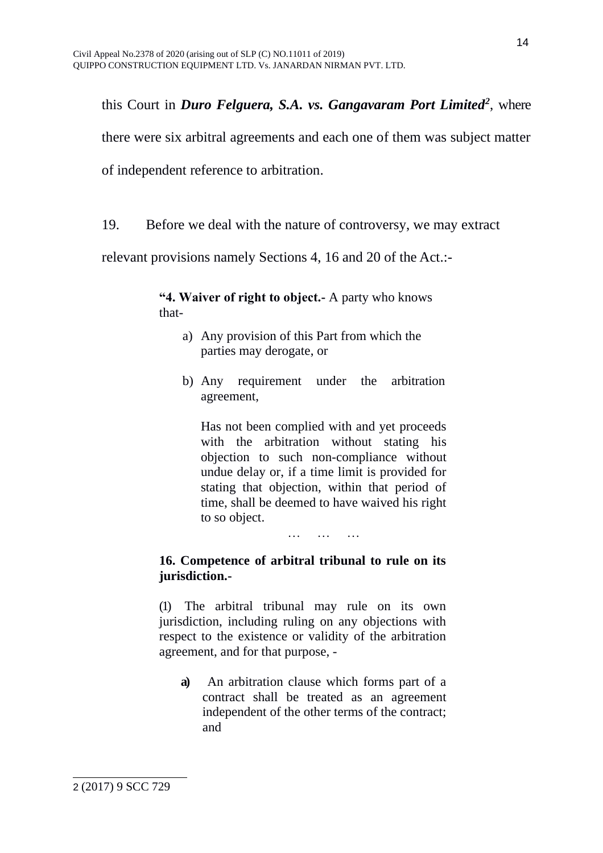this Court in *Duro Felguera, S.A. vs. Gangavaram Port Limited[2](#page-13-0)* , where there were six arbitral agreements and each one of them was subject matter of independent reference to arbitration.

19. Before we deal with the nature of controversy, we may extract

relevant provisions namely Sections 4, 16 and 20 of the Act.:-

**"4. Waiver of right to object.-** A party who knows that-

- a) Any provision of this Part from which the parties may derogate, or
- b) Any requirement under the arbitration agreement,

Has not been complied with and yet proceeds with the arbitration without stating his objection to such non-compliance without undue delay or, if a time limit is provided for stating that objection, within that period of time, shall be deemed to have waived his right to so object.

… … …

### **16. Competence of arbitral tribunal to rule on its jurisdiction.-**

(1) The arbitral tribunal may rule on its own jurisdiction, including ruling on any objections with respect to the existence or validity of the arbitration agreement, and for that purpose, -

<span id="page-13-0"></span>**a)** An arbitration clause which forms part of a contract shall be treated as an agreement independent of the other terms of the contract; and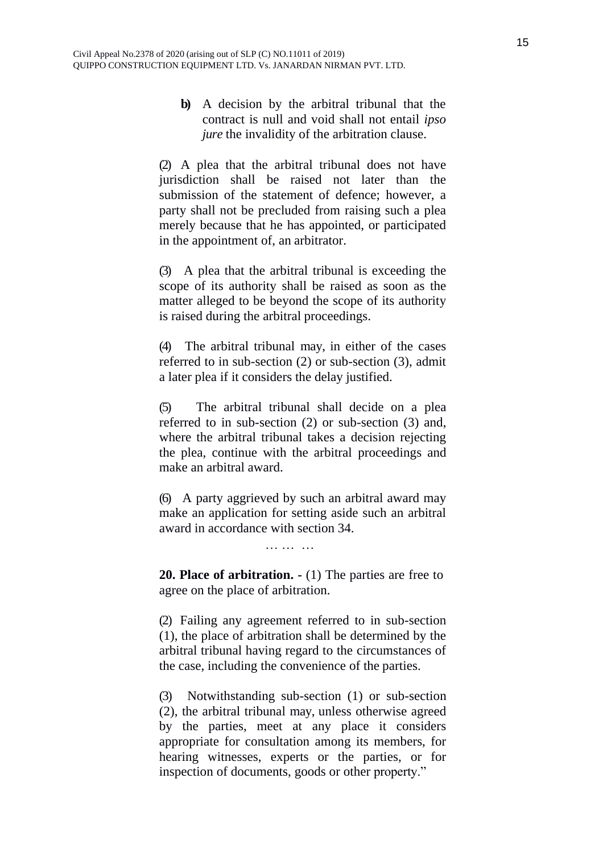**b)** A decision by the arbitral tribunal that the contract is null and void shall not entail *ipso jure* the invalidity of the arbitration clause.

(2) A plea that the arbitral tribunal does not have jurisdiction shall be raised not later than the submission of the statement of defence; however, a party shall not be precluded from raising such a plea merely because that he has appointed, or participated in the appointment of, an arbitrator.

(3) A plea that the arbitral tribunal is exceeding the scope of its authority shall be raised as soon as the matter alleged to be beyond the scope of its authority is raised during the arbitral proceedings.

(4) The arbitral tribunal may, in either of the cases referred to in sub-section (2) or sub-section (3), admit a later plea if it considers the delay justified.

(5) The arbitral tribunal shall decide on a plea referred to in sub-section (2) or sub-section (3) and, where the arbitral tribunal takes a decision rejecting the plea, continue with the arbitral proceedings and make an arbitral award.

(6) A party aggrieved by such an arbitral award may make an application for setting aside such an arbitral award in accordance with section 34.

… … …

**20. Place of arbitration. -** (1) The parties are free to agree on the place of arbitration.

(2) Failing any agreement referred to in sub-section (1), the place of arbitration shall be determined by the arbitral tribunal having regard to the circumstances of the case, including the convenience of the parties.

(3) Notwithstanding sub-section (1) or sub-section (2), the arbitral tribunal may, unless otherwise agreed by the parties, meet at any place it considers appropriate for consultation among its members, for hearing witnesses, experts or the parties, or for inspection of documents, goods or other property."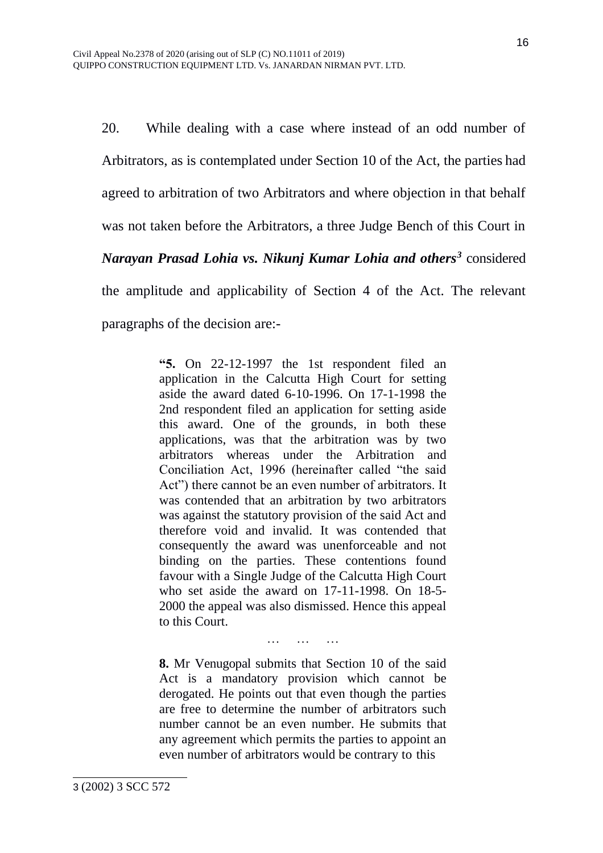20. While dealing with a case where instead of an odd number of Arbitrators, as is contemplated under Section 10 of the Act, the parties had agreed to arbitration of two Arbitrators and where objection in that behalf was not taken before the Arbitrators, a three Judge Bench of this Court in *Narayan Prasad Lohia vs. Nikunj Kumar Lohia and others[3](#page-15-0)* considered the amplitude and applicability of Section 4 of the Act. The relevant paragraphs of the decision are:-

> **"5.** On 22-12-1997 the 1st respondent filed an application in the Calcutta High Court for setting aside the award dated 6-10-1996. On 17-1-1998 the 2nd respondent filed an application for setting aside this award. One of the grounds, in both these applications, was that the arbitration was by two arbitrators whereas under the Arbitration and Conciliation Act, 1996 (hereinafter called "the said Act") there cannot be an even number of arbitrators. It was contended that an arbitration by two arbitrators was against the statutory provision of the said Act and therefore void and invalid. It was contended that consequently the award was unenforceable and not binding on the parties. These contentions found favour with a Single Judge of the Calcutta High Court who set aside the award on 17-11-1998. On 18-5- 2000 the appeal was also dismissed. Hence this appeal to this Court.

> > … … …

<span id="page-15-0"></span>**8.** Mr Venugopal submits that Section 10 of the said Act is a mandatory provision which cannot be derogated. He points out that even though the parties are free to determine the number of arbitrators such number cannot be an even number. He submits that any agreement which permits the parties to appoint an even number of arbitrators would be contrary to this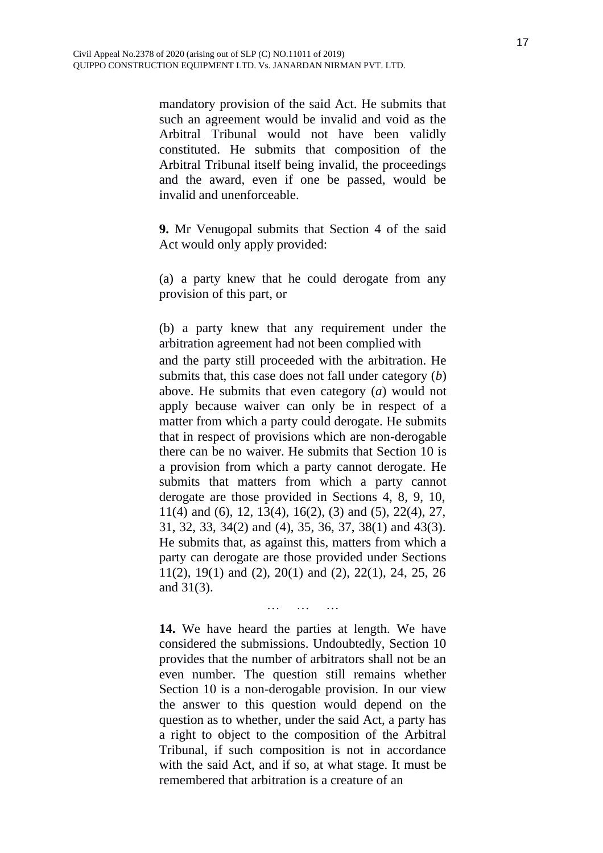mandatory provision of the said Act. He submits that such an agreement would be invalid and void as the Arbitral Tribunal would not have been validly constituted. He submits that composition of the Arbitral Tribunal itself being invalid, the proceedings and the award, even if one be passed, would be invalid and unenforceable.

**9.** Mr Venugopal submits that Section 4 of the said Act would only apply provided:

(a) a party knew that he could derogate from any provision of this part, or

(b) a party knew that any requirement under the arbitration agreement had not been complied with and the party still proceeded with the arbitration. He submits that, this case does not fall under category (*b*) above. He submits that even category (*a*) would not apply because waiver can only be in respect of a matter from which a party could derogate. He submits that in respect of provisions which are non-derogable there can be no waiver. He submits that Section 10 is a provision from which a party cannot derogate. He submits that matters from which a party cannot derogate are those provided in Sections 4, 8, 9, 10, 11(4) and (6), 12, 13(4), 16(2), (3) and (5), 22(4), 27, 31, 32, 33, 34(2) and (4), 35, 36, 37, 38(1) and 43(3). He submits that, as against this, matters from which a party can derogate are those provided under Sections 11(2), 19(1) and (2), 20(1) and (2), 22(1), 24, 25, 26 and 31(3).

**14.** We have heard the parties at length. We have considered the submissions. Undoubtedly, Section 10 provides that the number of arbitrators shall not be an even number. The question still remains whether Section 10 is a non-derogable provision. In our view the answer to this question would depend on the question as to whether, under the said Act, a party has a right to object to the composition of the Arbitral Tribunal, if such composition is not in accordance with the said Act, and if so, at what stage. It must be remembered that arbitration is a creature of an

… … …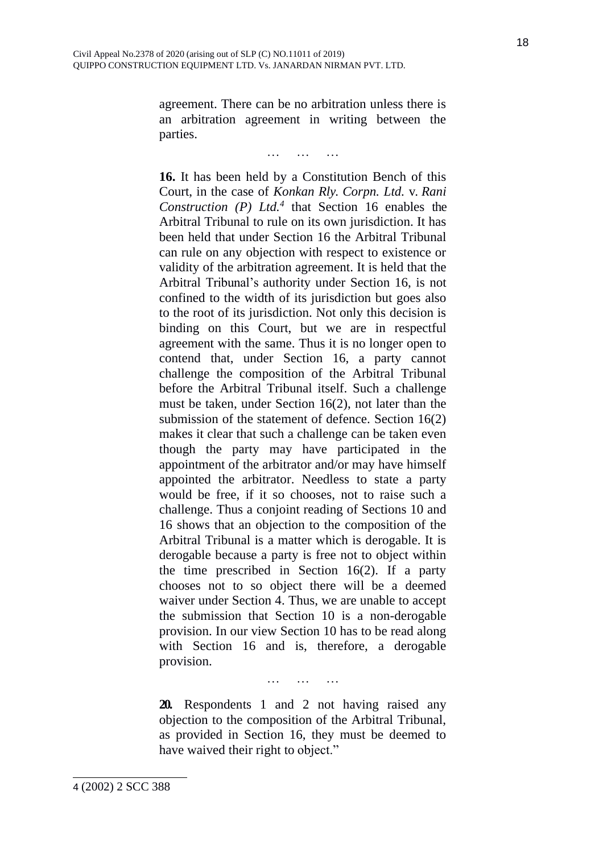agreement. There can be no arbitration unless there is an arbitration agreement in writing between the parties.

… … …

**16.** It has been held by a Constitution Bench of this Court, in the case of *Konkan Rly. Corpn. Ltd.* v. *Rani Construction (P) Ltd.[4](#page-17-0)* that Section 16 enables the Arbitral Tribunal to rule on its own jurisdiction. It has been held that under Section 16 the Arbitral Tribunal can rule on any objection with respect to existence or validity of the arbitration agreement. It is held that the Arbitral Tribunal's authority under Section 16, is not confined to the width of its jurisdiction but goes also to the root of its jurisdiction. Not only this decision is binding on this Court, but we are in respectful agreement with the same. Thus it is no longer open to contend that, under Section 16, a party cannot challenge the composition of the Arbitral Tribunal before the Arbitral Tribunal itself. Such a challenge must be taken, under Section 16(2), not later than the submission of the statement of defence. Section 16(2) makes it clear that such a challenge can be taken even though the party may have participated in the appointment of the arbitrator and/or may have himself appointed the arbitrator. Needless to state a party would be free, if it so chooses, not to raise such a challenge. Thus a conjoint reading of Sections 10 and 16 shows that an objection to the composition of the Arbitral Tribunal is a matter which is derogable. It is derogable because a party is free not to object within the time prescribed in Section 16(2). If a party chooses not to so object there will be a deemed waiver under Section 4. Thus, we are unable to accept the submission that Section 10 is a non-derogable provision. In our view Section 10 has to be read along with Section 16 and is, therefore, a derogable provision.

… … …

**20.** Respondents 1 and 2 not having raised any objection to the composition of the Arbitral Tribunal, as provided in Section 16, they must be deemed to have waived their right to object."

<span id="page-17-0"></span>4 (2002) 2 SCC 388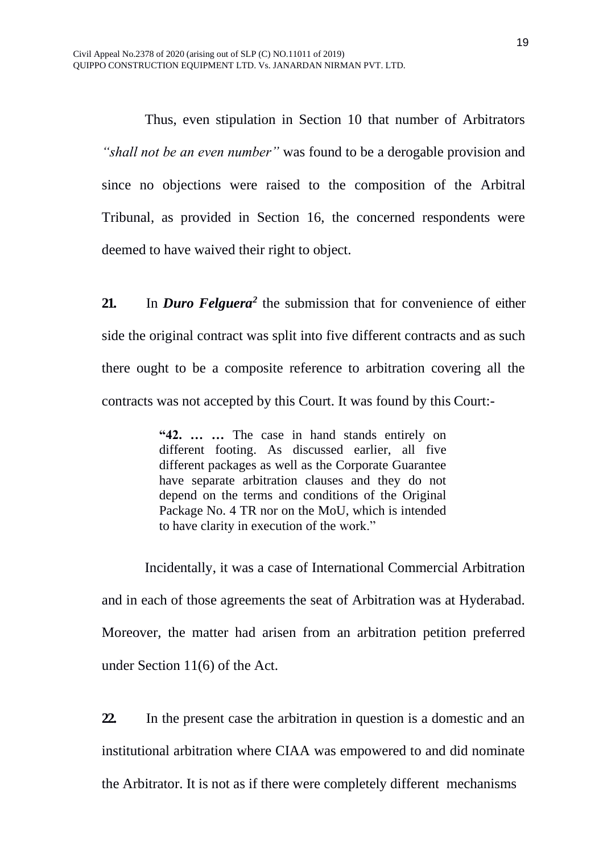Thus, even stipulation in Section 10 that number of Arbitrators *"shall not be an even number"* was found to be a derogable provision and since no objections were raised to the composition of the Arbitral Tribunal, as provided in Section 16, the concerned respondents were deemed to have waived their right to object.

**21.** In *Duro Felguera*<sup>2</sup> the submission that for convenience of either side the original contract was split into five different contracts and as such there ought to be a composite reference to arbitration covering all the contracts was not accepted by this Court. It was found by this Court:-

> **"42. … …** The case in hand stands entirely on different footing. As discussed earlier, all five different packages as well as the Corporate Guarantee have separate arbitration clauses and they do not depend on the terms and conditions of the Original Package No. 4 TR nor on the MoU, which is intended to have clarity in execution of the work."

Incidentally, it was a case of International Commercial Arbitration and in each of those agreements the seat of Arbitration was at Hyderabad. Moreover, the matter had arisen from an arbitration petition preferred under Section 11(6) of the Act.

**22.** In the present case the arbitration in question is a domestic and an institutional arbitration where CIAA was empowered to and did nominate the Arbitrator. It is not as if there were completely different mechanisms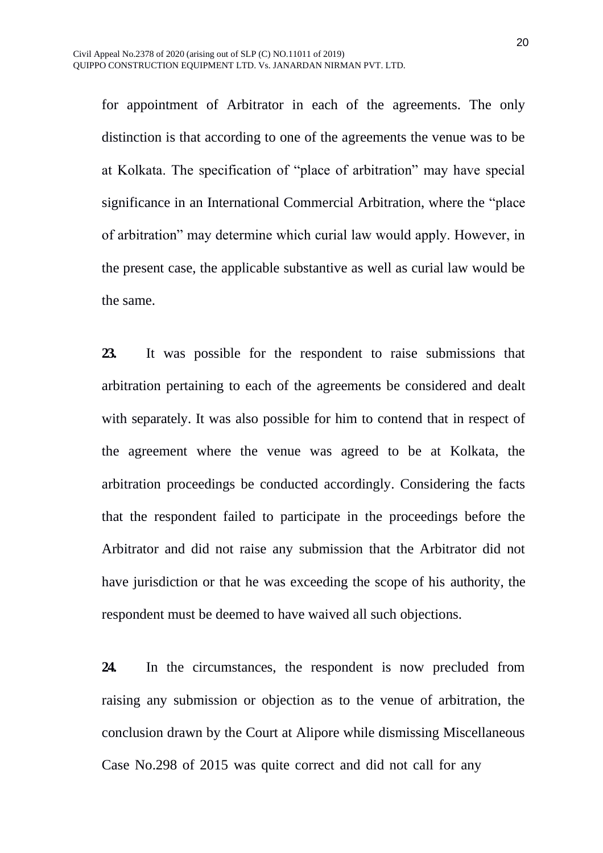for appointment of Arbitrator in each of the agreements. The only distinction is that according to one of the agreements the venue was to be at Kolkata. The specification of "place of arbitration" may have special significance in an International Commercial Arbitration, where the "place of arbitration" may determine which curial law would apply. However, in the present case, the applicable substantive as well as curial law would be the same.

**23.** It was possible for the respondent to raise submissions that arbitration pertaining to each of the agreements be considered and dealt with separately. It was also possible for him to contend that in respect of the agreement where the venue was agreed to be at Kolkata, the arbitration proceedings be conducted accordingly. Considering the facts that the respondent failed to participate in the proceedings before the Arbitrator and did not raise any submission that the Arbitrator did not have jurisdiction or that he was exceeding the scope of his authority, the respondent must be deemed to have waived all such objections.

**24.** In the circumstances, the respondent is now precluded from raising any submission or objection as to the venue of arbitration, the conclusion drawn by the Court at Alipore while dismissing Miscellaneous Case No.298 of 2015 was quite correct and did not call for any